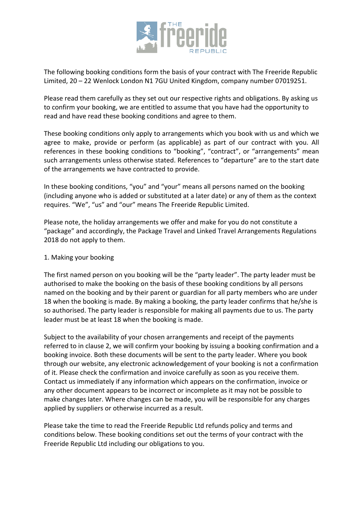

The following booking conditions form the basis of your contract with The Freeride Republic Limited, 20 – 22 Wenlock London N1 7GU United Kingdom, company number 07019251.

Please read them carefully as they set out our respective rights and obligations. By asking us to confirm your booking, we are entitled to assume that you have had the opportunity to read and have read these booking conditions and agree to them.

These booking conditions only apply to arrangements which you book with us and which we agree to make, provide or perform (as applicable) as part of our contract with you. All references in these booking conditions to "booking", "contract", or "arrangements" mean such arrangements unless otherwise stated. References to "departure" are to the start date of the arrangements we have contracted to provide.

In these booking conditions, "you" and "your" means all persons named on the booking (including anyone who is added or substituted at a later date) or any of them as the context requires. "We", "us" and "our" means The Freeride Republic Limited.

Please note, the holiday arrangements we offer and make for you do not constitute a "package" and accordingly, the Package Travel and Linked Travel Arrangements Regulations 2018 do not apply to them.

## 1. Making your booking

The first named person on you booking will be the "party leader". The party leader must be authorised to make the booking on the basis of these booking conditions by all persons named on the booking and by their parent or guardian for all party members who are under 18 when the booking is made. By making a booking, the party leader confirms that he/she is so authorised. The party leader is responsible for making all payments due to us. The party leader must be at least 18 when the booking is made.

Subject to the availability of your chosen arrangements and receipt of the payments referred to in clause 2, we will confirm your booking by issuing a booking confirmation and a booking invoice. Both these documents will be sent to the party leader. Where you book through our website, any electronic acknowledgement of your booking is not a confirmation of it. Please check the confirmation and invoice carefully as soon as you receive them. Contact us immediately if any information which appears on the confirmation, invoice or any other document appears to be incorrect or incomplete as it may not be possible to make changes later. Where changes can be made, you will be responsible for any charges applied by suppliers or otherwise incurred as a result.

Please take the time to read the Freeride Republic Ltd refunds policy and terms and conditions below. These booking conditions set out the terms of your contract with the Freeride Republic Ltd including our obligations to you.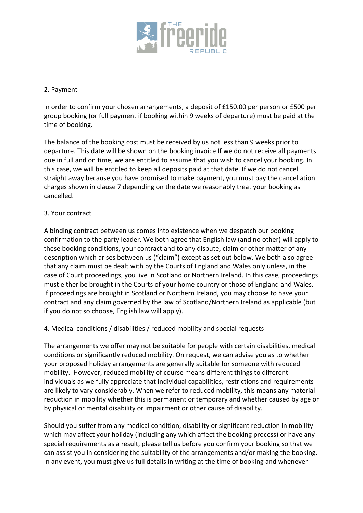

## 2. Payment

In order to confirm your chosen arrangements, a deposit of £150.00 per person or £500 per group booking (or full payment if booking within 9 weeks of departure) must be paid at the time of booking.

The balance of the booking cost must be received by us not less than 9 weeks prior to departure. This date will be shown on the booking invoice If we do not receive all payments due in full and on time, we are entitled to assume that you wish to cancel your booking. In this case, we will be entitled to keep all deposits paid at that date. If we do not cancel straight away because you have promised to make payment, you must pay the cancellation charges shown in clause 7 depending on the date we reasonably treat your booking as cancelled.

### 3. Your contract

A binding contract between us comes into existence when we despatch our booking confirmation to the party leader. We both agree that English law (and no other) will apply to these booking conditions, your contract and to any dispute, claim or other matter of any description which arises between us ("claim") except as set out below. We both also agree that any claim must be dealt with by the Courts of England and Wales only unless, in the case of Court proceedings, you live in Scotland or Northern Ireland. In this case, proceedings must either be brought in the Courts of your home country or those of England and Wales. If proceedings are brought in Scotland or Northern Ireland, you may choose to have your contract and any claim governed by the law of Scotland/Northern Ireland as applicable (but if you do not so choose, English law will apply).

4. Medical conditions / disabilities / reduced mobility and special requests

The arrangements we offer may not be suitable for people with certain disabilities, medical conditions or significantly reduced mobility. On request, we can advise you as to whether your proposed holiday arrangements are generally suitable for someone with reduced mobility. However, reduced mobility of course means different things to different individuals as we fully appreciate that individual capabilities, restrictions and requirements are likely to vary considerably. When we refer to reduced mobility, this means any material reduction in mobility whether this is permanent or temporary and whether caused by age or by physical or mental disability or impairment or other cause of disability.

Should you suffer from any medical condition, disability or significant reduction in mobility which may affect your holiday (including any which affect the booking process) or have any special requirements as a result, please tell us before you confirm your booking so that we can assist you in considering the suitability of the arrangements and/or making the booking. In any event, you must give us full details in writing at the time of booking and whenever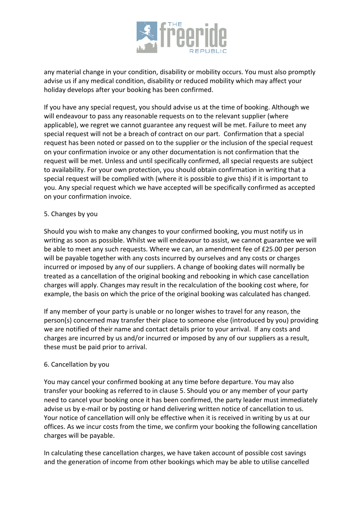

any material change in your condition, disability or mobility occurs. You must also promptly advise us if any medical condition, disability or reduced mobility which may affect your holiday develops after your booking has been confirmed.

If you have any special request, you should advise us at the time of booking. Although we will endeavour to pass any reasonable requests on to the relevant supplier (where applicable), we regret we cannot guarantee any request will be met. Failure to meet any special request will not be a breach of contract on our part. Confirmation that a special request has been noted or passed on to the supplier or the inclusion of the special request on your confirmation invoice or any other documentation is not confirmation that the request will be met. Unless and until specifically confirmed, all special requests are subject to availability. For your own protection, you should obtain confirmation in writing that a special request will be complied with (where it is possible to give this) if it is important to you. Any special request which we have accepted will be specifically confirmed as accepted on your confirmation invoice.

### 5. Changes by you

Should you wish to make any changes to your confirmed booking, you must notify us in writing as soon as possible. Whilst we will endeavour to assist, we cannot guarantee we will be able to meet any such requests. Where we can, an amendment fee of £25.00 per person will be payable together with any costs incurred by ourselves and any costs or charges incurred or imposed by any of our suppliers. A change of booking dates will normally be treated as a cancellation of the original booking and rebooking in which case cancellation charges will apply. Changes may result in the recalculation of the booking cost where, for example, the basis on which the price of the original booking was calculated has changed.

If any member of your party is unable or no longer wishes to travel for any reason, the person(s) concerned may transfer their place to someone else (introduced by you) providing we are notified of their name and contact details prior to your arrival. If any costs and charges are incurred by us and/or incurred or imposed by any of our suppliers as a result, these must be paid prior to arrival.

#### 6. Cancellation by you

You may cancel your confirmed booking at any time before departure. You may also transfer your booking as referred to in clause 5. Should you or any member of your party need to cancel your booking once it has been confirmed, the party leader must immediately advise us by e-mail or by posting or hand delivering written notice of cancellation to us. Your notice of cancellation will only be effective when it is received in writing by us at our offices. As we incur costs from the time, we confirm your booking the following cancellation charges will be payable.

In calculating these cancellation charges, we have taken account of possible cost savings and the generation of income from other bookings which may be able to utilise cancelled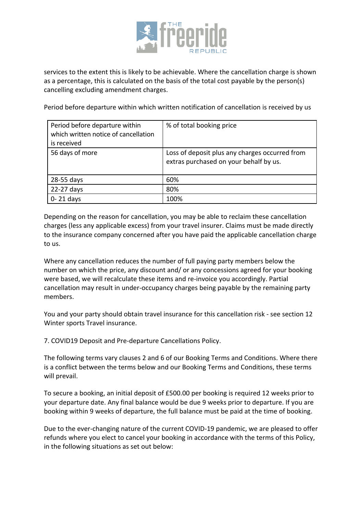

services to the extent this is likely to be achievable. Where the cancellation charge is shown as a percentage, this is calculated on the basis of the total cost payable by the person(s) cancelling excluding amendment charges.

Period before departure within which written notification of cancellation is received by us

| Period before departure within<br>which written notice of cancellation<br>is received | % of total booking price                                                                 |
|---------------------------------------------------------------------------------------|------------------------------------------------------------------------------------------|
| 56 days of more                                                                       | Loss of deposit plus any charges occurred from<br>extras purchased on your behalf by us. |
| 28-55 days                                                                            | 60%                                                                                      |
| 22-27 days                                                                            | 80%                                                                                      |
| $0 - 21$ days                                                                         | 100%                                                                                     |

Depending on the reason for cancellation, you may be able to reclaim these cancellation charges (less any applicable excess) from your travel insurer. Claims must be made directly to the insurance company concerned after you have paid the applicable cancellation charge to us.

Where any cancellation reduces the number of full paying party members below the number on which the price, any discount and/ or any concessions agreed for your booking were based, we will recalculate these items and re-invoice you accordingly. Partial cancellation may result in under-occupancy charges being payable by the remaining party members.

You and your party should obtain travel insurance for this cancellation risk - see section 12 Winter sports Travel insurance.

7. COVID19 Deposit and Pre-departure Cancellations Policy.

The following terms vary clauses 2 and 6 of our Booking Terms and Conditions. Where there is a conflict between the terms below and our Booking Terms and Conditions, these terms will prevail.

To secure a booking, an initial deposit of £500.00 per booking is required 12 weeks prior to your departure date. Any final balance would be due 9 weeks prior to departure. If you are booking within 9 weeks of departure, the full balance must be paid at the time of booking.

Due to the ever-changing nature of the current COVID-19 pandemic, we are pleased to offer refunds where you elect to cancel your booking in accordance with the terms of this Policy, in the following situations as set out below: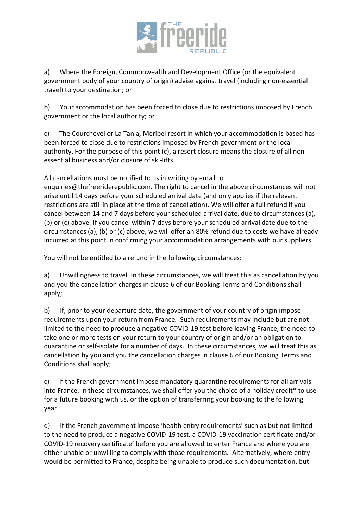

a) Where the Foreign, Commonwealth and Development Office (or the equivalent government body of your country of origin) advise against travel (including non-essential travel) to your destination; or

b) Your accommodation has been forced to close due to restrictions imposed by French government or the local authority; or

c) The Courchevel or La Tania, Meribel resort in which your accommodation is based has been forced to close due to restrictions imposed by French government or the local authority. For the purpose of this point (c), a resort closure means the closure of all nonessential business and/or closure of ski-lifts.

All cancellations must be notified to us in writing by email to enquiries@thefreeriderepublic.com. The right to cancel in the above circumstances will not arise until 14 days before your scheduled arrival date (and only applies if the relevant restrictions are still in place at the time of cancellation). We will offer a full refund if you cancel between 14 and 7 days before your scheduled arrival date, due to circumstances (a), (b) or (c) above. If you cancel within 7 days before your scheduled arrival date due to the circumstances (a), (b) or (c) above, we will offer an 80% refund due to costs we have already incurred at this point in confirming your accommodation arrangements with our suppliers.

You will not be entitled to a refund in the following circumstances:

a) Unwillingness to travel. In these circumstances, we will treat this as cancellation by you and you the cancellation charges in clause 6 of our Booking Terms and Conditions shall apply;

b) If, prior to your departure date, the government of your country of origin impose requirements upon your return from France. Such requirements may include but are not limited to the need to produce a negative COVID-19 test before leaving France, the need to take one or more tests on your return to your country of origin and/or an obligation to quarantine or self-isolate for a number of days. In these circumstances, we will treat this as cancellation by you and you the cancellation charges in clause 6 of our Booking Terms and Conditions shall apply;

c) If the French government impose mandatory quarantine requirements for all arrivals into France. In these circumstances, we shall offer you the choice of a holiday credit\* to use for a future booking with us, or the option of transferring your booking to the following year.

d) If the French government impose 'health entry requirements' such as but not limited to the need to produce a negative COVID-19 test, a COVID-19 vaccination certificate and/or COVID-19 recovery certificate' before you are allowed to enter France and where you are either unable or unwilling to comply with those requirements. Alternatively, where entry would be permitted to France, despite being unable to produce such documentation, but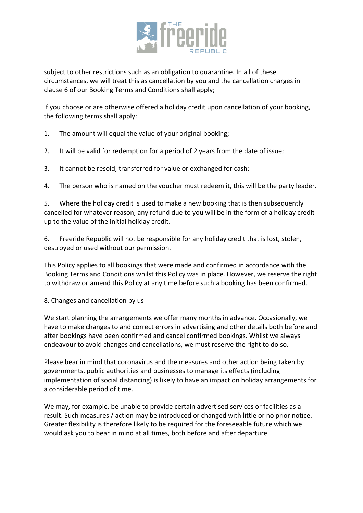

subject to other restrictions such as an obligation to quarantine. In all of these circumstances, we will treat this as cancellation by you and the cancellation charges in clause 6 of our Booking Terms and Conditions shall apply;

If you choose or are otherwise offered a holiday credit upon cancellation of your booking, the following terms shall apply:

- 1. The amount will equal the value of your original booking;
- 2. It will be valid for redemption for a period of 2 years from the date of issue;
- 3. It cannot be resold, transferred for value or exchanged for cash;
- 4. The person who is named on the voucher must redeem it, this will be the party leader.

5. Where the holiday credit is used to make a new booking that is then subsequently cancelled for whatever reason, any refund due to you will be in the form of a holiday credit up to the value of the initial holiday credit.

6. Freeride Republic will not be responsible for any holiday credit that is lost, stolen, destroyed or used without our permission.

This Policy applies to all bookings that were made and confirmed in accordance with the Booking Terms and Conditions whilst this Policy was in place. However, we reserve the right to withdraw or amend this Policy at any time before such a booking has been confirmed.

# 8. Changes and cancellation by us

We start planning the arrangements we offer many months in advance. Occasionally, we have to make changes to and correct errors in advertising and other details both before and after bookings have been confirmed and cancel confirmed bookings. Whilst we always endeavour to avoid changes and cancellations, we must reserve the right to do so.

Please bear in mind that coronavirus and the measures and other action being taken by governments, public authorities and businesses to manage its effects (including implementation of social distancing) is likely to have an impact on holiday arrangements for a considerable period of time.

We may, for example, be unable to provide certain advertised services or facilities as a result. Such measures / action may be introduced or changed with little or no prior notice. Greater flexibility is therefore likely to be required for the foreseeable future which we would ask you to bear in mind at all times, both before and after departure.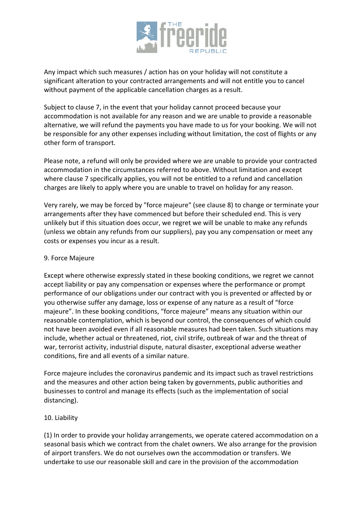

Any impact which such measures / action has on your holiday will not constitute a significant alteration to your contracted arrangements and will not entitle you to cancel without payment of the applicable cancellation charges as a result.

Subject to clause 7, in the event that your holiday cannot proceed because your accommodation is not available for any reason and we are unable to provide a reasonable alternative, we will refund the payments you have made to us for your booking. We will not be responsible for any other expenses including without limitation, the cost of flights or any other form of transport.

Please note, a refund will only be provided where we are unable to provide your contracted accommodation in the circumstances referred to above. Without limitation and except where clause 7 specifically applies, you will not be entitled to a refund and cancellation charges are likely to apply where you are unable to travel on holiday for any reason.

Very rarely, we may be forced by "force majeure" (see clause 8) to change or terminate your arrangements after they have commenced but before their scheduled end. This is very unlikely but if this situation does occur, we regret we will be unable to make any refunds (unless we obtain any refunds from our suppliers), pay you any compensation or meet any costs or expenses you incur as a result.

#### 9. Force Majeure

Except where otherwise expressly stated in these booking conditions, we regret we cannot accept liability or pay any compensation or expenses where the performance or prompt performance of our obligations under our contract with you is prevented or affected by or you otherwise suffer any damage, loss or expense of any nature as a result of "force majeure". In these booking conditions, "force majeure" means any situation within our reasonable contemplation, which is beyond our control, the consequences of which could not have been avoided even if all reasonable measures had been taken. Such situations may include, whether actual or threatened, riot, civil strife, outbreak of war and the threat of war, terrorist activity, industrial dispute, natural disaster, exceptional adverse weather conditions, fire and all events of a similar nature.

Force majeure includes the coronavirus pandemic and its impact such as travel restrictions and the measures and other action being taken by governments, public authorities and businesses to control and manage its effects (such as the implementation of social distancing).

#### 10. Liability

(1) In order to provide your holiday arrangements, we operate catered accommodation on a seasonal basis which we contract from the chalet owners. We also arrange for the provision of airport transfers. We do not ourselves own the accommodation or transfers. We undertake to use our reasonable skill and care in the provision of the accommodation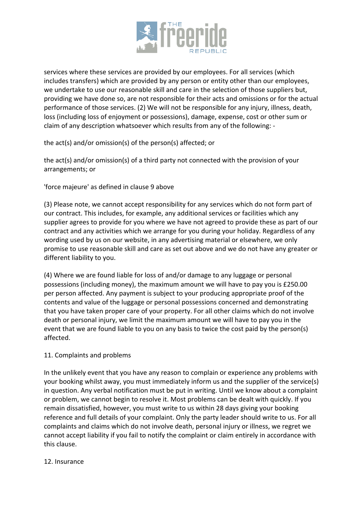

services where these services are provided by our employees. For all services (which includes transfers) which are provided by any person or entity other than our employees, we undertake to use our reasonable skill and care in the selection of those suppliers but, providing we have done so, are not responsible for their acts and omissions or for the actual performance of those services. (2) We will not be responsible for any injury, illness, death, loss (including loss of enjoyment or possessions), damage, expense, cost or other sum or claim of any description whatsoever which results from any of the following: -

the act(s) and/or omission(s) of the person(s) affected; or

the act(s) and/or omission(s) of a third party not connected with the provision of your arrangements; or

'force majeure' as defined in clause 9 above

(3) Please note, we cannot accept responsibility for any services which do not form part of our contract. This includes, for example, any additional services or facilities which any supplier agrees to provide for you where we have not agreed to provide these as part of our contract and any activities which we arrange for you during your holiday. Regardless of any wording used by us on our website, in any advertising material or elsewhere, we only promise to use reasonable skill and care as set out above and we do not have any greater or different liability to you.

(4) Where we are found liable for loss of and/or damage to any luggage or personal possessions (including money), the maximum amount we will have to pay you is £250.00 per person affected. Any payment is subject to your producing appropriate proof of the contents and value of the luggage or personal possessions concerned and demonstrating that you have taken proper care of your property. For all other claims which do not involve death or personal injury, we limit the maximum amount we will have to pay you in the event that we are found liable to you on any basis to twice the cost paid by the person(s) affected.

# 11. Complaints and problems

In the unlikely event that you have any reason to complain or experience any problems with your booking whilst away, you must immediately inform us and the supplier of the service(s) in question. Any verbal notification must be put in writing. Until we know about a complaint or problem, we cannot begin to resolve it. Most problems can be dealt with quickly. If you remain dissatisfied, however, you must write to us within 28 days giving your booking reference and full details of your complaint. Only the party leader should write to us. For all complaints and claims which do not involve death, personal injury or illness, we regret we cannot accept liability if you fail to notify the complaint or claim entirely in accordance with this clause.

#### 12. Insurance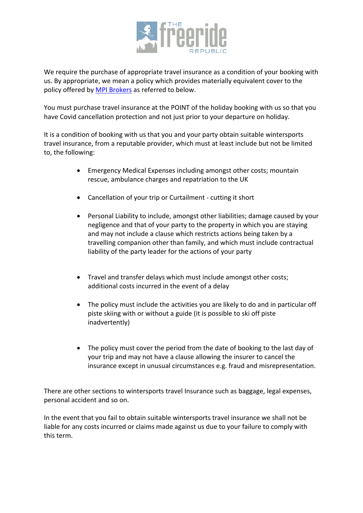

We require the purchase of appropriate travel insurance as a condition of your booking with us. By appropriate, we mean a policy which provides materially equivalent cover to the policy offered by MPI Brokers as referred to below.

You must purchase travel insurance at the POINT of the holiday booking with us so that you have Covid cancellation protection and not just prior to your departure on holiday.

It is a condition of booking with us that you and your party obtain suitable wintersports travel insurance, from a reputable provider, which must at least include but not be limited to, the following:

- Emergency Medical Expenses including amongst other costs; mountain rescue, ambulance charges and repatriation to the UK
- Cancellation of your trip or Curtailment cutting it short
- Personal Liability to include, amongst other liabilities; damage caused by your negligence and that of your party to the property in which you are staying and may not include a clause which restricts actions being taken by a travelling companion other than family, and which must include contractual liability of the party leader for the actions of your party
- Travel and transfer delays which must include amongst other costs; additional costs incurred in the event of a delay
- The policy must include the activities you are likely to do and in particular off piste skiing with or without a guide (it is possible to ski off piste inadvertently)
- The policy must cover the period from the date of booking to the last day of your trip and may not have a clause allowing the insurer to cancel the insurance except in unusual circumstances e.g. fraud and misrepresentation.

There are other sections to wintersports travel Insurance such as baggage, legal expenses, personal accident and so on.

In the event that you fail to obtain suitable wintersports travel insurance we shall not be liable for any costs incurred or claims made against us due to your failure to comply with this term.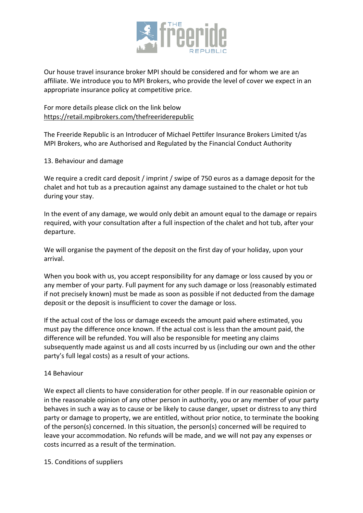

Our house travel insurance broker MPI should be considered and for whom we are an affiliate. We introduce you to MPI Brokers, who provide the level of cover we expect in an appropriate insurance policy at competitive price.

For more details please click on the link below https://retail.mpibrokers.com/thefreeriderepublic

The Freeride Republic is an Introducer of Michael Pettifer Insurance Brokers Limited t/as MPI Brokers, who are Authorised and Regulated by the Financial Conduct Authority

### 13. Behaviour and damage

We require a credit card deposit / imprint / swipe of 750 euros as a damage deposit for the chalet and hot tub as a precaution against any damage sustained to the chalet or hot tub during your stay.

In the event of any damage, we would only debit an amount equal to the damage or repairs required, with your consultation after a full inspection of the chalet and hot tub, after your departure.

We will organise the payment of the deposit on the first day of your holiday, upon your arrival.

When you book with us, you accept responsibility for any damage or loss caused by you or any member of your party. Full payment for any such damage or loss (reasonably estimated if not precisely known) must be made as soon as possible if not deducted from the damage deposit or the deposit is insufficient to cover the damage or loss.

If the actual cost of the loss or damage exceeds the amount paid where estimated, you must pay the difference once known. If the actual cost is less than the amount paid, the difference will be refunded. You will also be responsible for meeting any claims subsequently made against us and all costs incurred by us (including our own and the other party's full legal costs) as a result of your actions.

# 14 Behaviour

We expect all clients to have consideration for other people. If in our reasonable opinion or in the reasonable opinion of any other person in authority, you or any member of your party behaves in such a way as to cause or be likely to cause danger, upset or distress to any third party or damage to property, we are entitled, without prior notice, to terminate the booking of the person(s) concerned. In this situation, the person(s) concerned will be required to leave your accommodation. No refunds will be made, and we will not pay any expenses or costs incurred as a result of the termination.

15. Conditions of suppliers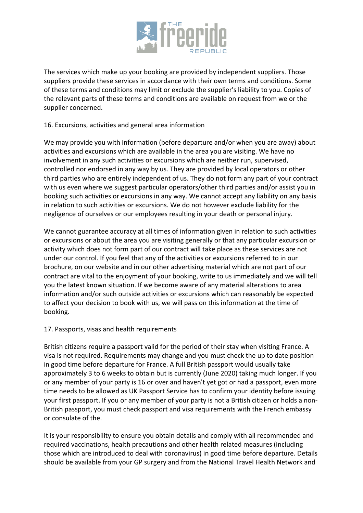

The services which make up your booking are provided by independent suppliers. Those suppliers provide these services in accordance with their own terms and conditions. Some of these terms and conditions may limit or exclude the supplier's liability to you. Copies of the relevant parts of these terms and conditions are available on request from we or the supplier concerned.

# 16. Excursions, activities and general area information

We may provide you with information (before departure and/or when you are away) about activities and excursions which are available in the area you are visiting. We have no involvement in any such activities or excursions which are neither run, supervised, controlled nor endorsed in any way by us. They are provided by local operators or other third parties who are entirely independent of us. They do not form any part of your contract with us even where we suggest particular operators/other third parties and/or assist you in booking such activities or excursions in any way. We cannot accept any liability on any basis in relation to such activities or excursions. We do not however exclude liability for the negligence of ourselves or our employees resulting in your death or personal injury.

We cannot guarantee accuracy at all times of information given in relation to such activities or excursions or about the area you are visiting generally or that any particular excursion or activity which does not form part of our contract will take place as these services are not under our control. If you feel that any of the activities or excursions referred to in our brochure, on our website and in our other advertising material which are not part of our contract are vital to the enjoyment of your booking, write to us immediately and we will tell you the latest known situation. If we become aware of any material alterations to area information and/or such outside activities or excursions which can reasonably be expected to affect your decision to book with us, we will pass on this information at the time of booking.

#### 17. Passports, visas and health requirements

British citizens require a passport valid for the period of their stay when visiting France. A visa is not required. Requirements may change and you must check the up to date position in good time before departure for France. A full British passport would usually take approximately 3 to 6 weeks to obtain but is currently (June 2020) taking much longer. If you or any member of your party is 16 or over and haven't yet got or had a passport, even more time needs to be allowed as UK Passport Service has to confirm your identity before issuing your first passport. If you or any member of your party is not a British citizen or holds a non-British passport, you must check passport and visa requirements with the French embassy or consulate of the.

It is your responsibility to ensure you obtain details and comply with all recommended and required vaccinations, health precautions and other health related measures (including those which are introduced to deal with coronavirus) in good time before departure. Details should be available from your GP surgery and from the National Travel Health Network and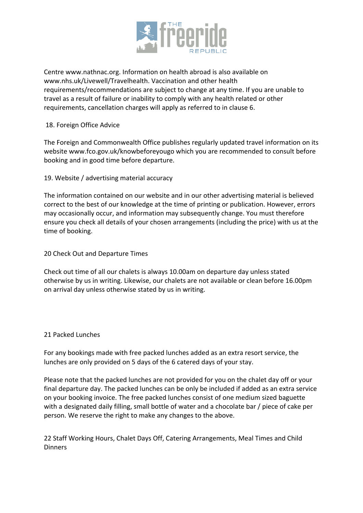

Centre www.nathnac.org. Information on health abroad is also available on www.nhs.uk/Livewell/Travelhealth. Vaccination and other health requirements/recommendations are subject to change at any time. If you are unable to travel as a result of failure or inability to comply with any health related or other requirements, cancellation charges will apply as referred to in clause 6.

### 18. Foreign Office Advice

The Foreign and Commonwealth Office publishes regularly updated travel information on its website www.fco.gov.uk/knowbeforeyougo which you are recommended to consult before booking and in good time before departure.

19. Website / advertising material accuracy

The information contained on our website and in our other advertising material is believed correct to the best of our knowledge at the time of printing or publication. However, errors may occasionally occur, and information may subsequently change. You must therefore ensure you check all details of your chosen arrangements (including the price) with us at the time of booking.

20 Check Out and Departure Times

Check out time of all our chalets is always 10.00am on departure day unless stated otherwise by us in writing. Likewise, our chalets are not available or clean before 16.00pm on arrival day unless otherwise stated by us in writing.

#### 21 Packed Lunches

For any bookings made with free packed lunches added as an extra resort service, the lunches are only provided on 5 days of the 6 catered days of your stay.

Please note that the packed lunches are not provided for you on the chalet day off or your final departure day. The packed lunches can be only be included if added as an extra service on your booking invoice. The free packed lunches consist of one medium sized baguette with a designated daily filling, small bottle of water and a chocolate bar / piece of cake per person. We reserve the right to make any changes to the above.

22 Staff Working Hours, Chalet Days Off, Catering Arrangements, Meal Times and Child Dinners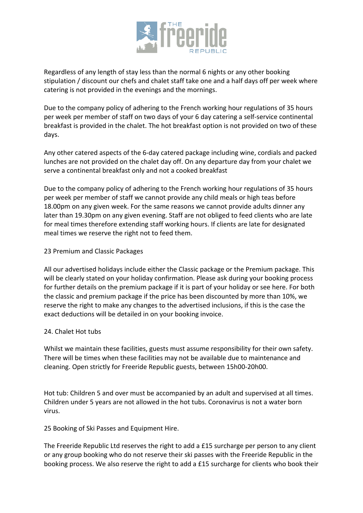

Regardless of any length of stay less than the normal 6 nights or any other booking stipulation / discount our chefs and chalet staff take one and a half days off per week where catering is not provided in the evenings and the mornings.

Due to the company policy of adhering to the French working hour regulations of 35 hours per week per member of staff on two days of your 6 day catering a self-service continental breakfast is provided in the chalet. The hot breakfast option is not provided on two of these days.

Any other catered aspects of the 6-day catered package including wine, cordials and packed lunches are not provided on the chalet day off. On any departure day from your chalet we serve a continental breakfast only and not a cooked breakfast

Due to the company policy of adhering to the French working hour regulations of 35 hours per week per member of staff we cannot provide any child meals or high teas before 18.00pm on any given week. For the same reasons we cannot provide adults dinner any later than 19.30pm on any given evening. Staff are not obliged to feed clients who are late for meal times therefore extending staff working hours. If clients are late for designated meal times we reserve the right not to feed them.

### 23 Premium and Classic Packages

All our advertised holidays include either the Classic package or the Premium package. This will be clearly stated on your holiday confirmation. Please ask during your booking process for further details on the premium package if it is part of your holiday or see here. For both the classic and premium package if the price has been discounted by more than 10%, we reserve the right to make any changes to the advertised inclusions, if this is the case the exact deductions will be detailed in on your booking invoice.

#### 24. Chalet Hot tubs

Whilst we maintain these facilities, guests must assume responsibility for their own safety. There will be times when these facilities may not be available due to maintenance and cleaning. Open strictly for Freeride Republic guests, between 15h00-20h00.

Hot tub: Children 5 and over must be accompanied by an adult and supervised at all times. Children under 5 years are not allowed in the hot tubs. Coronavirus is not a water born virus.

25 Booking of Ski Passes and Equipment Hire.

The Freeride Republic Ltd reserves the right to add a £15 surcharge per person to any client or any group booking who do not reserve their ski passes with the Freeride Republic in the booking process. We also reserve the right to add a £15 surcharge for clients who book their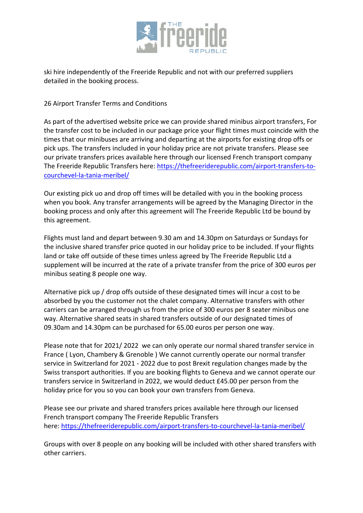

ski hire independently of the Freeride Republic and not with our preferred suppliers detailed in the booking process.

26 Airport Transfer Terms and Conditions

As part of the advertised website price we can provide shared minibus airport transfers, For the transfer cost to be included in our package price your flight times must coincide with the times that our minibuses are arriving and departing at the airports for existing drop offs or pick ups. The transfers included in your holiday price are not private transfers. Please see our private transfers prices available here through our licensed French transport company The Freeride Republic Transfers here: https://thefreeriderepublic.com/airport-transfers-tocourchevel-la-tania-meribel/

Our existing pick uo and drop off times will be detailed with you in the booking process when you book. Any transfer arrangements will be agreed by the Managing Director in the booking process and only after this agreement will The Freeride Republic Ltd be bound by this agreement.

Flights must land and depart between 9.30 am and 14.30pm on Saturdays or Sundays for the inclusive shared transfer price quoted in our holiday price to be included. If your flights land or take off outside of these times unless agreed by The Freeride Republic Ltd a supplement will be incurred at the rate of a private transfer from the price of 300 euros per minibus seating 8 people one way.

Alternative pick up / drop offs outside of these designated times will incur a cost to be absorbed by you the customer not the chalet company. Alternative transfers with other carriers can be arranged through us from the price of 300 euros per 8 seater minibus one way. Alternative shared seats in shared transfers outside of our designated times of 09.30am and 14.30pm can be purchased for 65.00 euros per person one way.

Please note that for 2021/ 2022 we can only operate our normal shared transfer service in France ( Lyon, Chambery & Grenoble ) We cannot currently operate our normal transfer service in Switzerland for 2021 - 2022 due to post Brexit regulation changes made by the Swiss transport authorities. If you are booking flights to Geneva and we cannot operate our transfers service in Switzerland in 2022, we would deduct £45.00 per person from the holiday price for you so you can book your own transfers from Geneva.

Please see our private and shared transfers prices available here through our licensed French transport company The Freeride Republic Transfers here: https://thefreeriderepublic.com/airport-transfers-to-courchevel-la-tania-meribel/

Groups with over 8 people on any booking will be included with other shared transfers with other carriers.